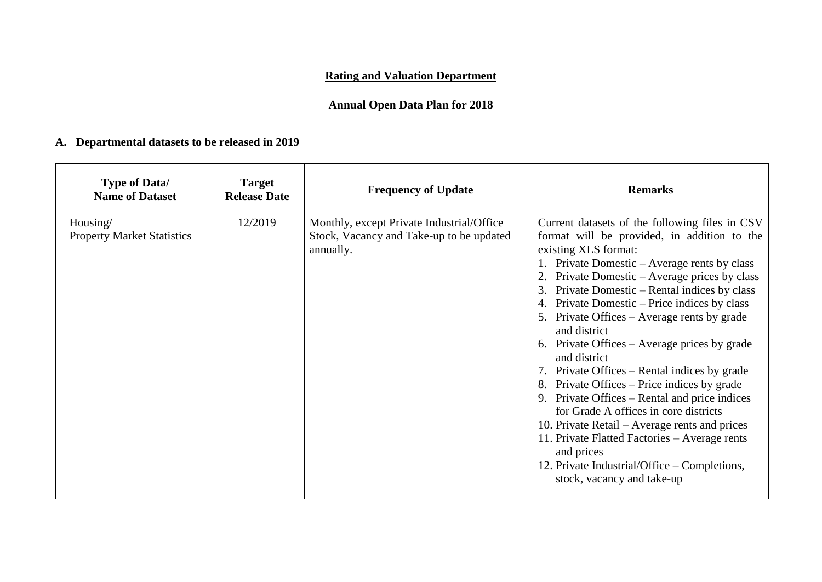# **Rating and Valuation Department**

# **Annual Open Data Plan for 2018**

# **A. Departmental datasets to be released in 2019**

| <b>Type of Data/</b><br><b>Name of Dataset</b> | <b>Target</b><br><b>Release Date</b> | <b>Frequency of Update</b>                                                                         | <b>Remarks</b>                                                                                                                                                                                                                                                                                                                                                                                                                                                                                                                                                                                                                                                                                                                                                                                                                                |
|------------------------------------------------|--------------------------------------|----------------------------------------------------------------------------------------------------|-----------------------------------------------------------------------------------------------------------------------------------------------------------------------------------------------------------------------------------------------------------------------------------------------------------------------------------------------------------------------------------------------------------------------------------------------------------------------------------------------------------------------------------------------------------------------------------------------------------------------------------------------------------------------------------------------------------------------------------------------------------------------------------------------------------------------------------------------|
| Housing/<br><b>Property Market Statistics</b>  | 12/2019                              | Monthly, except Private Industrial/Office<br>Stock, Vacancy and Take-up to be updated<br>annually. | Current datasets of the following files in CSV<br>format will be provided, in addition to the<br>existing XLS format:<br>1. Private Domestic – Average rents by class<br>Private Domestic – Average prices by class<br>Private Domestic – Rental indices by class<br>3.<br>Private Domestic – Price indices by class<br>5. Private Offices – Average rents by grade<br>and district<br>6. Private Offices – Average prices by grade<br>and district<br>7. Private Offices – Rental indices by grade<br>Private Offices – Price indices by grade<br>8.<br>9. Private Offices – Rental and price indices<br>for Grade A offices in core districts<br>10. Private Retail – Average rents and prices<br>11. Private Flatted Factories - Average rents<br>and prices<br>12. Private Industrial/Office – Completions,<br>stock, vacancy and take-up |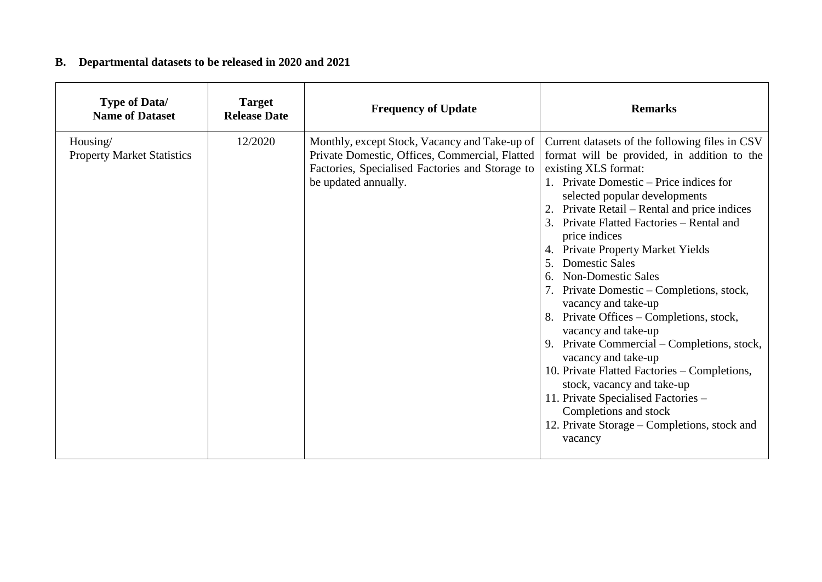# **B. Departmental datasets to be released in 2020 and 2021**

| <b>Type of Data/</b><br><b>Name of Dataset</b> | <b>Target</b><br><b>Release Date</b> | <b>Frequency of Update</b>                                                                                                                                                 | <b>Remarks</b>                                                                                                                                                                                                                                                                                                                                                                                                                                                                                                                                                                                                                                                                                                                                                                                                           |
|------------------------------------------------|--------------------------------------|----------------------------------------------------------------------------------------------------------------------------------------------------------------------------|--------------------------------------------------------------------------------------------------------------------------------------------------------------------------------------------------------------------------------------------------------------------------------------------------------------------------------------------------------------------------------------------------------------------------------------------------------------------------------------------------------------------------------------------------------------------------------------------------------------------------------------------------------------------------------------------------------------------------------------------------------------------------------------------------------------------------|
| Housing/<br><b>Property Market Statistics</b>  | 12/2020                              | Monthly, except Stock, Vacancy and Take-up of<br>Private Domestic, Offices, Commercial, Flatted<br>Factories, Specialised Factories and Storage to<br>be updated annually. | Current datasets of the following files in CSV<br>format will be provided, in addition to the<br>existing XLS format:<br>1. Private Domestic – Price indices for<br>selected popular developments<br>2. Private Retail – Rental and price indices<br>3. Private Flatted Factories – Rental and<br>price indices<br>4. Private Property Market Yields<br>5. Domestic Sales<br>6. Non-Domestic Sales<br>7. Private Domestic – Completions, stock,<br>vacancy and take-up<br>8. Private Offices – Completions, stock,<br>vacancy and take-up<br>9. Private Commercial – Completions, stock,<br>vacancy and take-up<br>10. Private Flatted Factories - Completions,<br>stock, vacancy and take-up<br>11. Private Specialised Factories -<br>Completions and stock<br>12. Private Storage – Completions, stock and<br>vacancy |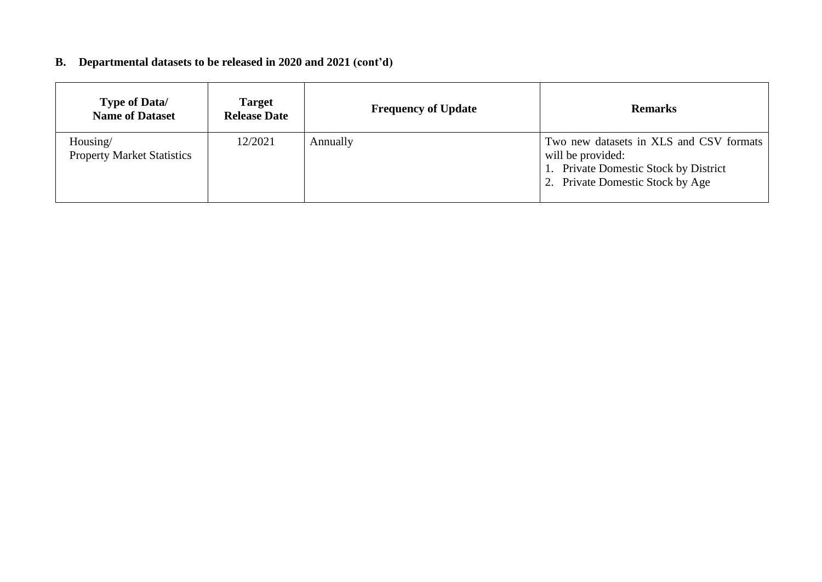# **B. Departmental datasets to be released in 2020 and 2021 (cont'd)**

| <b>Type of Data/</b><br><b>Name of Dataset</b> | <b>Target</b><br><b>Release Date</b> | <b>Frequency of Update</b> | <b>Remarks</b>                                                                                                                            |
|------------------------------------------------|--------------------------------------|----------------------------|-------------------------------------------------------------------------------------------------------------------------------------------|
| Housing/<br><b>Property Market Statistics</b>  | 12/2021                              | Annually                   | Two new datasets in XLS and CSV formats<br>will be provided:<br>1. Private Domestic Stock by District<br>2. Private Domestic Stock by Age |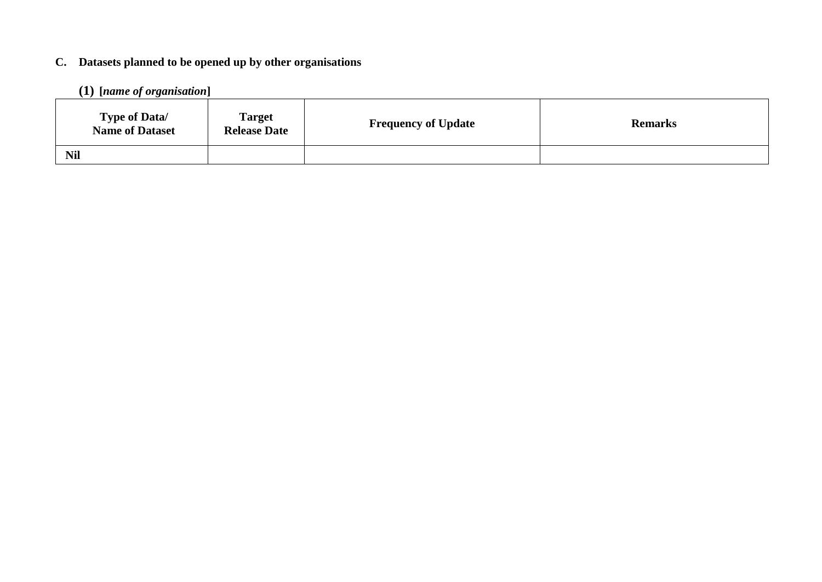# **C. Datasets planned to be opened up by other organisations**

# **(1) [***name of organisation***]**

| <b>Type of Data/</b><br><b>Name of Dataset</b> | <b>Target</b><br><b>Release Date</b> | <b>Frequency of Update</b> | <b>Remarks</b> |
|------------------------------------------------|--------------------------------------|----------------------------|----------------|
| <b>Nil</b>                                     |                                      |                            |                |